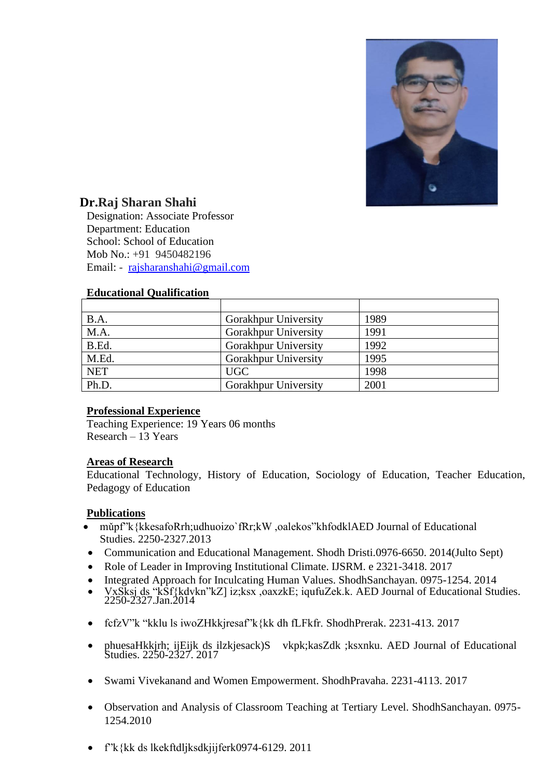

# **Dr.Raj Sharan Shahi**

Designation: Associate Professor Department: Education School: School of Education Mob No.: +91 9450482196 Email: - [rajsharanshahi@gmail.com](mailto:rajsharanshahi@gmail.com)

## **Educational Qualification**

| B.A.       | <b>Gorakhpur University</b> | 1989 |
|------------|-----------------------------|------|
| M.A.       | Gorakhpur University        | 1991 |
| B.Ed.      | Gorakhpur University        | 1992 |
| M.Ed.      | <b>Gorakhpur University</b> | 1995 |
| <b>NET</b> | <b>UGC</b>                  | 1998 |
| Ph.D.      | <b>Gorakhpur University</b> | 2001 |

## **Professional Experience**

Teaching Experience: 19 Years 06 months Research – 13 Years

## **Areas of Research**

Educational Technology, History of Education, Sociology of Education, Teacher Education, Pedagogy of Education

## **Publications**

- mǔpf"k{kkesafoRrh;udhuoizo`fRr;kW ,oalekos"khfodklAED Journal of Educational Studies. 2250-2327.2013
- Communication and Educational Management. Shodh Dristi.0976-6650. 2014(Julto Sept)
- Role of Leader in Improving Institutional Climate. IJSRM. e 2321-3418. 2017
- Integrated Approach for Inculcating Human Values. ShodhSanchayan. 0975-1254. 2014
- VxSksj ds "kSf{kdvkn"kZ] iz;ksx ,oaxzkE; iqufuZek.k. AED Journal of Educational Studies. 2250-2327.Jan.2014
- fcfzV"k "kklu ls iwoZHkkjresaf"k{kk dh fLFkfr. ShodhPrerak. 2231-413. 2017
- phuesaHkkjrh; ijEijk ds ilzkjesack)S vkpk;kasZdk ;ksxnku. AED Journal of Educational Studies. 2250-2327. 2017
- Swami Vivekanand and Women Empowerment. ShodhPravaha. 2231-4113. 2017
- Observation and Analysis of Classroom Teaching at Tertiary Level. ShodhSanchayan. 0975- 1254.2010
- f"k{kk ds lkekftdljksdkjijferk0974-6129. 2011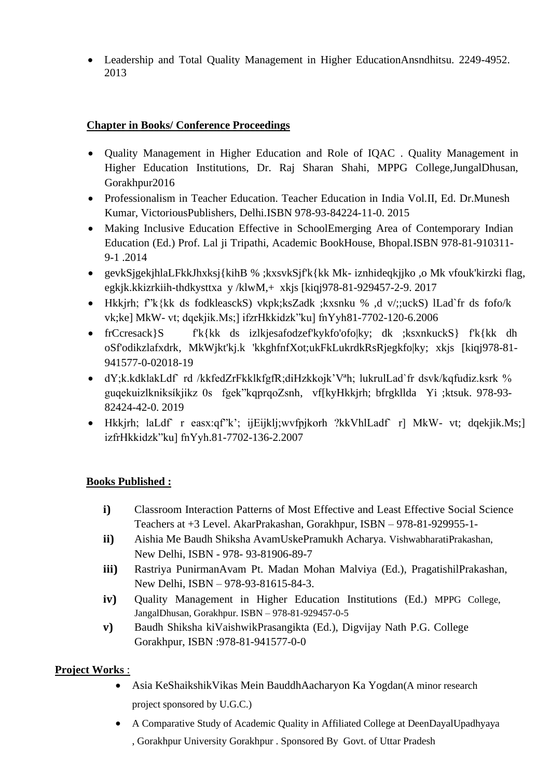• Leadership and Total Quality Management in Higher EducationAnsndhitsu. 2249-4952. 2013

# **Chapter in Books/ Conference Proceedings**

- Quality Management in Higher Education and Role of IQAC . Quality Management in Higher Education Institutions, Dr. Raj Sharan Shahi, MPPG College,JungalDhusan, Gorakhpur2016
- Professionalism in Teacher Education. Teacher Education in India Vol.II, Ed. Dr.Munesh Kumar, VictoriousPublishers, Delhi.ISBN 978-93-84224-11-0. 2015
- Making Inclusive Education Effective in SchoolEmerging Area of Contemporary Indian Education (Ed.) Prof. Lal ji Tripathi, Academic BookHouse, Bhopal.ISBN 978-81-910311- 9-1 .2014
- gevkSjgekjhlaLFkkJhxksj{kihB % ;kxsvkSjf'k{kk Mk- iznhideqkjjko ,o Mk vfouk'kirzki flag, egkjk.kkizrkiih-thdkysttxa y /klwM,+ xkjs [kiqj978-81-929457-2-9. 2017
- Hkkjrh; f"k{kk ds fodkleasckS) vkpk;ksZadk ;kxsnku % ,d v/;;uckS) lLad`fr ds fofo/k vk;ke] MkW- vt; dqekjik.Ms;] ifzrHkkidzk"ku] fnYyh81-7702-120-6.2006
- frCcresack}S f'k{kk ds izlkjesafodzef'kykfo'ofolky; dk ;ksxnkuckS} f'k{kk dh oSf'odikzlafxdrk, MkWjkt'kj.k 'kkghfnfXot;ukFkLukrdkRsRjegkfo|ky; xkjs [kiqj978-81- 941577-0-02018-19
- dY;k.kdklakLdf rd /kkfedZrFkklkfgfR;diHzkkojk'V<sup>a</sup>h; lukrulLad`fr dsvk/kqfudiz.ksrk % guqekuizlkniksíkjikz 0s fgek"kqprqoZsnh, vf[kyHkkjrh; bfrgkllda Yi ;ktsuk. 978-93- 82424-42-0. 2019
- Hkkjrh; laLdf` r easx:qf"k'; ijEijklj;wvfpjkorh ?kkVhlLadf` r] MkW- vt; dqekjik.Ms;] izfrHkkidzk"ku] fnYyh.81-7702-136-2.2007

# **Books Published :**

- **i)** Classroom Interaction Patterns of Most Effective and Least Effective Social Science Teachers at +3 Level. AkarPrakashan, Gorakhpur, ISBN – 978-81-929955-1-
- **ii)** Aishia Me Baudh Shiksha AvamUskePramukh Acharya. VishwabharatiPrakashan, New Delhi, ISBN - 978- 93-81906-89-7
- **iii)** Rastriya PunirmanAvam Pt. Madan Mohan Malviya (Ed.), PragatishilPrakashan, New Delhi, ISBN – 978-93-81615-84-3.
- **iv)** Quality Management in Higher Education Institutions (Ed.) MPPG College, JangalDhusan, Gorakhpur. ISBN – 978-81-929457-0-5
- **v)** Baudh Shiksha kiVaishwikPrasangikta (Ed.), Digvijay Nath P.G. College Gorakhpur, ISBN :978-81-941577-0-0

# **Project Works** :

- Asia KeShaikshikVikas Mein BauddhAacharyon Ka Yogdan(A minor research project sponsored by U.G.C.)
- A Comparative Study of Academic Quality in Affiliated College at DeenDayalUpadhyaya , Gorakhpur University Gorakhpur . Sponsored By Govt. of Uttar Pradesh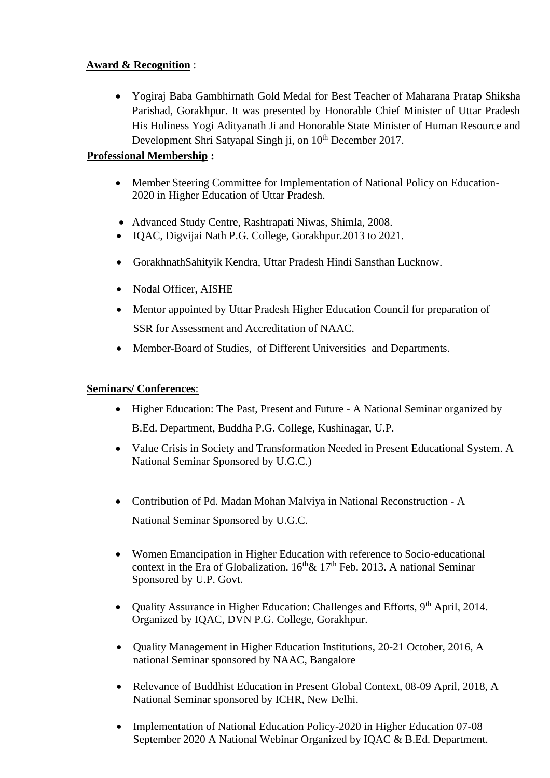# **Award & Recognition** :

• Yogiraj Baba Gambhirnath Gold Medal for Best Teacher of Maharana Pratap Shiksha Parishad, Gorakhpur. It was presented by Honorable Chief Minister of Uttar Pradesh His Holiness Yogi Adityanath Ji and Honorable State Minister of Human Resource and Development Shri Satyapal Singh ji, on 10<sup>th</sup> December 2017.

# **Professional Membership :**

- Member Steering Committee for Implementation of National Policy on Education-2020 in Higher Education of Uttar Pradesh.
- Advanced Study Centre, Rashtrapati Niwas, Shimla, 2008.
- IQAC, Digvijai Nath P.G. College, Gorakhpur.2013 to 2021.
- GorakhnathSahityik Kendra, Uttar Pradesh Hindi Sansthan Lucknow.
- Nodal Officer, AISHE
- Mentor appointed by Uttar Pradesh Higher Education Council for preparation of SSR for Assessment and Accreditation of NAAC.
- Member-Board of Studies, of Different Universities and Departments.

# **Seminars/ Conferences**:

- Higher Education: The Past, Present and Future A National Seminar organized by B.Ed. Department, Buddha P.G. College, Kushinagar, U.P.
- Value Crisis in Society and Transformation Needed in Present Educational System. A National Seminar Sponsored by U.G.C.)
- Contribution of Pd. Madan Mohan Malviya in National Reconstruction A National Seminar Sponsored by U.G.C.
- Women Emancipation in Higher Education with reference to Socio-educational context in the Era of Globalization.  $16<sup>th</sup> \& 17<sup>th</sup>$  Feb. 2013. A national Seminar Sponsored by U.P. Govt.
- Quality Assurance in Higher Education: Challenges and Efforts, 9<sup>th</sup> April, 2014. Organized by IQAC, DVN P.G. College, Gorakhpur.
- Quality Management in Higher Education Institutions, 20-21 October, 2016, A national Seminar sponsored by NAAC, Bangalore
- Relevance of Buddhist Education in Present Global Context, 08-09 April, 2018, A National Seminar sponsored by ICHR, New Delhi.
- Implementation of National Education Policy-2020 in Higher Education 07-08 September 2020 A National Webinar Organized by IQAC & B.Ed. Department.